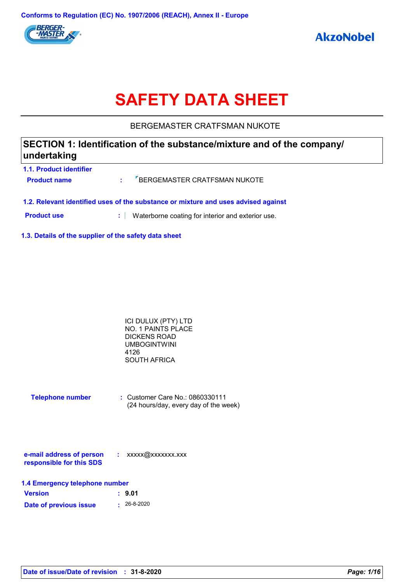

# **SAFETY DATA SHEET**

BERGEMASTER CRATFSMAN NUKOTE

| SECTION 1: Identification of the substance/mixture and of the company/<br>undertaking |
|---------------------------------------------------------------------------------------|
| <b>1.1. Product identifier</b>                                                        |

| <b>Product name</b> | <b>EXPRESEMASTER CRATFSMAN NUKOTE</b>                                              |
|---------------------|------------------------------------------------------------------------------------|
|                     | 1.2. Relevant identified uses of the substance or mixture and uses advised against |

**Product use <b>:** Waterborne coating for interior and exterior use.

**1.3. Details of the supplier of the safety data sheet**

| ICI DULUX (PTY) LTD |  |
|---------------------|--|
| NO. 1 PAINTS PLACE  |  |
| DICKENS ROAD        |  |
| <b>UMBOGINTWINI</b> |  |
| 4126                |  |
| <b>SOUTH AFRICA</b> |  |

| <b>Telephone number</b> | $\therefore$ Customer Care No.: 0860330111 |
|-------------------------|--------------------------------------------|
|                         | (24 hours/day, every day of the week)      |

| e-mail address of person | xxxxx@xxxxxxx.xxx |
|--------------------------|-------------------|
| responsible for this SDS |                   |

| 1.4 Emergency telephone number |                   |  |  |  |
|--------------------------------|-------------------|--|--|--|
| <b>Version</b>                 | : 9.01            |  |  |  |
| Date of previous issue         | $\cdot$ 26-8-2020 |  |  |  |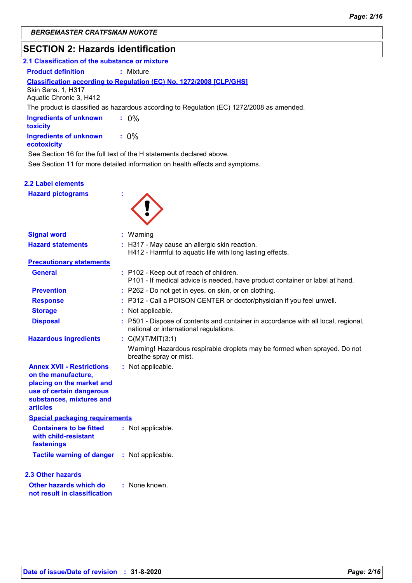# **SECTION 2: Hazards identification**

| 2.1 Classification of the substance or mixture |                                                                                           |
|------------------------------------------------|-------------------------------------------------------------------------------------------|
| <b>Product definition</b>                      | : Mixture                                                                                 |
| Skin Sens. 1, H317                             | <b>Classification according to Regulation (EC) No. 1272/2008 [CLP/GHS]</b>                |
| Aquatic Chronic 3, H412                        |                                                                                           |
|                                                | The product is classified as hazardous according to Regulation (EC) 1272/2008 as amended. |
| <b>Ingredients of unknown</b><br>toxicity      | $: 0\%$                                                                                   |
| <b>Ingredients of unknown</b><br>ecotoxicity   | $: 0\%$                                                                                   |
|                                                | See Section 16 for the full text of the H statements declared above.                      |
|                                                | See Section 11 for more detailed information on health effects and symptoms.              |
| 2.2 Label elements                             |                                                                                           |
| <b>Hazard pictograms</b>                       |                                                                                           |

| <b>Signal word</b>                                                                                                                                              | : Warning                                                                                                                  |
|-----------------------------------------------------------------------------------------------------------------------------------------------------------------|----------------------------------------------------------------------------------------------------------------------------|
| <b>Hazard statements</b>                                                                                                                                        | : H317 - May cause an allergic skin reaction.<br>H412 - Harmful to aquatic life with long lasting effects.                 |
| <b>Precautionary statements</b>                                                                                                                                 |                                                                                                                            |
| <b>General</b>                                                                                                                                                  | : P102 - Keep out of reach of children.<br>P101 - If medical advice is needed, have product container or label at hand.    |
| <b>Prevention</b>                                                                                                                                               | : P262 - Do not get in eyes, on skin, or on clothing.                                                                      |
| <b>Response</b>                                                                                                                                                 | : P312 - Call a POISON CENTER or doctor/physician if you feel unwell.                                                      |
| <b>Storage</b>                                                                                                                                                  | : Not applicable.                                                                                                          |
| <b>Disposal</b>                                                                                                                                                 | P501 - Dispose of contents and container in accordance with all local, regional,<br>national or international regulations. |
| <b>Hazardous ingredients</b>                                                                                                                                    | : $C(M)$ IT/MIT $(3:1)$                                                                                                    |
|                                                                                                                                                                 | Warning! Hazardous respirable droplets may be formed when sprayed. Do not<br>breathe spray or mist.                        |
| <b>Annex XVII - Restrictions</b><br>on the manufacture,<br>placing on the market and<br>use of certain dangerous<br>substances, mixtures and<br><b>articles</b> | : Not applicable.                                                                                                          |
| <b>Special packaging requirements</b>                                                                                                                           |                                                                                                                            |
| <b>Containers to be fitted</b><br>with child-resistant<br>fastenings                                                                                            | : Not applicable.                                                                                                          |
| <b>Tactile warning of danger : Not applicable.</b>                                                                                                              |                                                                                                                            |
| <b>2.3 Other hazards</b>                                                                                                                                        |                                                                                                                            |
| Other hazards which do<br>not result in classification                                                                                                          | : None known.                                                                                                              |
|                                                                                                                                                                 |                                                                                                                            |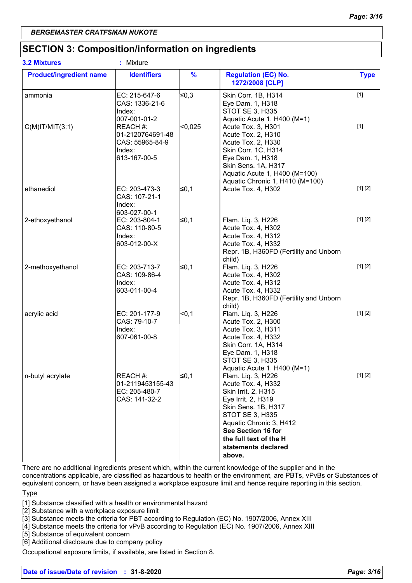# **SECTION 3: Composition/information on ingredients**

| <b>3.2 Mixtures</b>            | : Mixture                                                                                 |               |                                                                                                                                                                                                                                                    |             |
|--------------------------------|-------------------------------------------------------------------------------------------|---------------|----------------------------------------------------------------------------------------------------------------------------------------------------------------------------------------------------------------------------------------------------|-------------|
| <b>Product/ingredient name</b> | <b>Identifiers</b>                                                                        | $\frac{9}{6}$ | <b>Regulation (EC) No.</b><br>1272/2008 [CLP]                                                                                                                                                                                                      | <b>Type</b> |
| ammonia                        | EC: 215-647-6<br>CAS: 1336-21-6<br>Index:                                                 | $≤0,3$        | Skin Corr. 1B, H314<br>Eye Dam. 1, H318<br><b>STOT SE 3, H335</b>                                                                                                                                                                                  | $[1]$       |
| $C(M)$ IT/MIT $(3:1)$          | 007-001-01-2<br>REACH #:<br>01-2120764691-48<br>CAS: 55965-84-9<br>Index:<br>613-167-00-5 | < 0,025       | Aquatic Acute 1, H400 (M=1)<br>Acute Tox. 3, H301<br>Acute Tox. 2, H310<br>Acute Tox. 2, H330<br>Skin Corr. 1C, H314<br>Eye Dam. 1, H318<br>Skin Sens. 1A, H317<br>Aquatic Acute 1, H400 (M=100)<br>Aquatic Chronic 1, H410 (M=100)                | $[1]$       |
| ethanediol                     | EC: 203-473-3<br>CAS: 107-21-1<br>Index:<br>603-027-00-1                                  | l≤0,1         | Acute Tox. 4, H302                                                                                                                                                                                                                                 | [1] [2]     |
| 2-ethoxyethanol                | EC: 203-804-1<br>CAS: 110-80-5<br>Index:<br>603-012-00-X                                  | ≤0,1          | Flam. Liq. 3, H226<br>Acute Tox. 4, H302<br>Acute Tox. 4, H312<br>Acute Tox. 4, H332<br>Repr. 1B, H360FD (Fertility and Unborn<br>child)                                                                                                           | [1] [2]     |
| 2-methoxyethanol               | EC: 203-713-7<br>CAS: 109-86-4<br>Index:<br>603-011-00-4                                  | $\leq 0,1$    | Flam. Liq. 3, H226<br>Acute Tox. 4, H302<br>Acute Tox. 4, H312<br>Acute Tox. 4, H332<br>Repr. 1B, H360FD (Fertility and Unborn<br>child)                                                                                                           | [1] [2]     |
| acrylic acid                   | EC: 201-177-9<br>CAS: 79-10-7<br>Index:<br>607-061-00-8                                   | < 0, 1        | Flam. Liq. 3, H226<br>Acute Tox. 2, H300<br>Acute Tox. 3, H311<br>Acute Tox. 4, H332<br>Skin Corr. 1A, H314<br>Eye Dam. 1, H318<br>STOT SE 3, H335<br>Aquatic Acute 1, H400 (M=1)                                                                  | [1] [2]     |
| n-butyl acrylate               | REACH #:<br>01-2119453155-43<br>EC: 205-480-7<br>CAS: 141-32-2                            | $\leq 0,1$    | Flam. Liq. 3, H226<br>Acute Tox. 4, H332<br>Skin Irrit. 2, H315<br>Eye Irrit. 2, H319<br>Skin Sens. 1B, H317<br><b>STOT SE 3, H335</b><br>Aquatic Chronic 3, H412<br>See Section 16 for<br>the full text of the H<br>statements declared<br>above. | [1] [2]     |

There are no additional ingredients present which, within the current knowledge of the supplier and in the concentrations applicable, are classified as hazardous to health or the environment, are PBTs, vPvBs or Substances of equivalent concern, or have been assigned a workplace exposure limit and hence require reporting in this section.

Type

[1] Substance classified with a health or environmental hazard

[2] Substance with a workplace exposure limit

[3] Substance meets the criteria for PBT according to Regulation (EC) No. 1907/2006, Annex XIII

[4] Substance meets the criteria for vPvB according to Regulation (EC) No. 1907/2006, Annex XIII

[5] Substance of equivalent concern

[6] Additional disclosure due to company policy

Occupational exposure limits, if available, are listed in Section 8.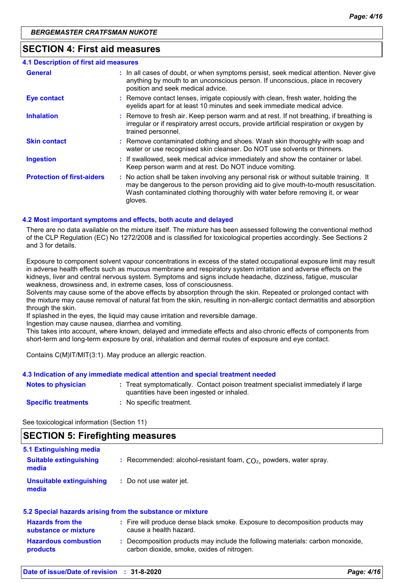# **SECTION 4: First aid measures**

| 4.1 Description of first aid measures |                                                                                                                                                                                                                                                                          |
|---------------------------------------|--------------------------------------------------------------------------------------------------------------------------------------------------------------------------------------------------------------------------------------------------------------------------|
| <b>General</b>                        | : In all cases of doubt, or when symptoms persist, seek medical attention. Never give<br>anything by mouth to an unconscious person. If unconscious, place in recovery<br>position and seek medical advice.                                                              |
| <b>Eye contact</b>                    | : Remove contact lenses, irrigate copiously with clean, fresh water, holding the<br>eyelids apart for at least 10 minutes and seek immediate medical advice.                                                                                                             |
| <b>Inhalation</b>                     | : Remove to fresh air. Keep person warm and at rest. If not breathing, if breathing is<br>irregular or if respiratory arrest occurs, provide artificial respiration or oxygen by<br>trained personnel.                                                                   |
| <b>Skin contact</b>                   | : Remove contaminated clothing and shoes. Wash skin thoroughly with soap and<br>water or use recognised skin cleanser. Do NOT use solvents or thinners.                                                                                                                  |
| <b>Ingestion</b>                      | : If swallowed, seek medical advice immediately and show the container or label.<br>Keep person warm and at rest. Do NOT induce vomiting.                                                                                                                                |
| <b>Protection of first-aiders</b>     | : No action shall be taken involving any personal risk or without suitable training. It<br>may be dangerous to the person providing aid to give mouth-to-mouth resuscitation.<br>Wash contaminated clothing thoroughly with water before removing it, or wear<br>gloves. |

#### **4.2 Most important symptoms and effects, both acute and delayed**

There are no data available on the mixture itself. The mixture has been assessed following the conventional method of the CLP Regulation (EC) No 1272/2008 and is classified for toxicological properties accordingly. See Sections 2 and 3 for details.

Exposure to component solvent vapour concentrations in excess of the stated occupational exposure limit may result in adverse health effects such as mucous membrane and respiratory system irritation and adverse effects on the kidneys, liver and central nervous system. Symptoms and signs include headache, dizziness, fatigue, muscular weakness, drowsiness and, in extreme cases, loss of consciousness.

Solvents may cause some of the above effects by absorption through the skin. Repeated or prolonged contact with the mixture may cause removal of natural fat from the skin, resulting in non-allergic contact dermatitis and absorption through the skin.

If splashed in the eyes, the liquid may cause irritation and reversible damage.

Ingestion may cause nausea, diarrhea and vomiting.

This takes into account, where known, delayed and immediate effects and also chronic effects of components from short-term and long-term exposure by oral, inhalation and dermal routes of exposure and eye contact.

Contains C(M)IT/MIT(3:1). May produce an allergic reaction.

#### **4.3 Indication of any immediate medical attention and special treatment needed**

| Notes to physician         | Treat symptomatically. Contact poison treatment specialist immediately if large<br>quantities have been ingested or inhaled. |
|----------------------------|------------------------------------------------------------------------------------------------------------------------------|
| <b>Specific treatments</b> | No specific treatment.                                                                                                       |

See toxicological information (Section 11)

# **SECTION 5: Firefighting measures**

| 5.1 Extinguishing media<br><b>Suitable extinguishing</b><br>media | : Recommended: alcohol-resistant foam, $CO2$ , powders, water spray. |
|-------------------------------------------------------------------|----------------------------------------------------------------------|
| Unsuitable extinguishing<br>media                                 | : Do not use water jet.                                              |

#### **5.2 Special hazards arising from the substance or mixture**

| <b>Hazards from the</b><br>substance or mixture | : Fire will produce dense black smoke. Exposure to decomposition products may<br>cause a health hazard.                    |
|-------------------------------------------------|----------------------------------------------------------------------------------------------------------------------------|
| <b>Hazardous combustion</b><br><b>products</b>  | Decomposition products may include the following materials: carbon monoxide,<br>carbon dioxide, smoke, oxides of nitrogen. |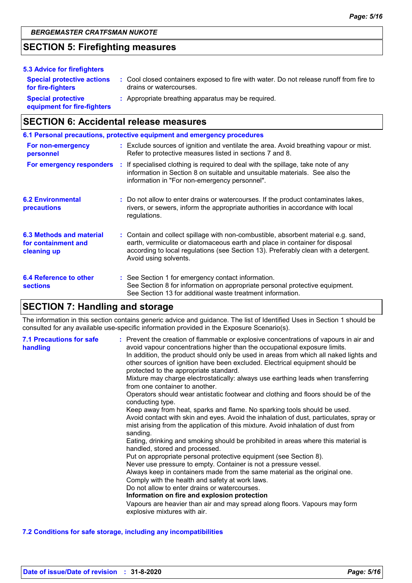# **SECTION 5: Firefighting measures**

| 5.3 Advice for firefighters                              |                                                                                                                    |
|----------------------------------------------------------|--------------------------------------------------------------------------------------------------------------------|
| <b>Special protective actions</b><br>for fire-fighters   | : Cool closed containers exposed to fire with water. Do not release runoff from fire to<br>drains or watercourses. |
| <b>Special protective</b><br>equipment for fire-fighters | : Appropriate breathing apparatus may be required.                                                                 |

# **SECTION 6: Accidental release measures**

|                                                                | 6.1 Personal precautions, protective equipment and emergency procedures                                                                                                                                                                                                            |
|----------------------------------------------------------------|------------------------------------------------------------------------------------------------------------------------------------------------------------------------------------------------------------------------------------------------------------------------------------|
| For non-emergency<br>personnel                                 | : Exclude sources of ignition and ventilate the area. Avoid breathing vapour or mist.<br>Refer to protective measures listed in sections 7 and 8.                                                                                                                                  |
| For emergency responders                                       | : If specialised clothing is required to deal with the spillage, take note of any<br>information in Section 8 on suitable and unsuitable materials. See also the<br>information in "For non-emergency personnel".                                                                  |
| <b>6.2 Environmental</b><br>precautions                        | : Do not allow to enter drains or watercourses. If the product contaminates lakes,<br>rivers, or sewers, inform the appropriate authorities in accordance with local<br>regulations.                                                                                               |
| 6.3 Methods and material<br>for containment and<br>cleaning up | : Contain and collect spillage with non-combustible, absorbent material e.g. sand,<br>earth, vermiculite or diatomaceous earth and place in container for disposal<br>according to local regulations (see Section 13). Preferably clean with a detergent.<br>Avoid using solvents. |
| 6.4 Reference to other<br><b>sections</b>                      | : See Section 1 for emergency contact information.<br>See Section 8 for information on appropriate personal protective equipment.<br>See Section 13 for additional waste treatment information.                                                                                    |

# **SECTION 7: Handling and storage**

The information in this section contains generic advice and guidance. The list of Identified Uses in Section 1 should be consulted for any available use-specific information provided in the Exposure Scenario(s).

| <b>7.1 Precautions for safe</b><br>handling | : Prevent the creation of flammable or explosive concentrations of vapours in air and<br>avoid vapour concentrations higher than the occupational exposure limits.<br>In addition, the product should only be used in areas from which all naked lights and<br>other sources of ignition have been excluded. Electrical equipment should be<br>protected to the appropriate standard.<br>Mixture may charge electrostatically: always use earthing leads when transferring<br>from one container to another.<br>Operators should wear antistatic footwear and clothing and floors should be of the<br>conducting type.<br>Keep away from heat, sparks and flame. No sparking tools should be used.<br>Avoid contact with skin and eyes. Avoid the inhalation of dust, particulates, spray or<br>mist arising from the application of this mixture. Avoid inhalation of dust from<br>sanding.<br>Eating, drinking and smoking should be prohibited in areas where this material is<br>handled, stored and processed.<br>Put on appropriate personal protective equipment (see Section 8).<br>Never use pressure to empty. Container is not a pressure vessel.<br>Always keep in containers made from the same material as the original one.<br>Comply with the health and safety at work laws.<br>Do not allow to enter drains or watercourses.<br>Information on fire and explosion protection<br>Vapours are heavier than air and may spread along floors. Vapours may form<br>explosive mixtures with air. |
|---------------------------------------------|--------------------------------------------------------------------------------------------------------------------------------------------------------------------------------------------------------------------------------------------------------------------------------------------------------------------------------------------------------------------------------------------------------------------------------------------------------------------------------------------------------------------------------------------------------------------------------------------------------------------------------------------------------------------------------------------------------------------------------------------------------------------------------------------------------------------------------------------------------------------------------------------------------------------------------------------------------------------------------------------------------------------------------------------------------------------------------------------------------------------------------------------------------------------------------------------------------------------------------------------------------------------------------------------------------------------------------------------------------------------------------------------------------------------------------------------------------------------------------------------------------------|
|---------------------------------------------|--------------------------------------------------------------------------------------------------------------------------------------------------------------------------------------------------------------------------------------------------------------------------------------------------------------------------------------------------------------------------------------------------------------------------------------------------------------------------------------------------------------------------------------------------------------------------------------------------------------------------------------------------------------------------------------------------------------------------------------------------------------------------------------------------------------------------------------------------------------------------------------------------------------------------------------------------------------------------------------------------------------------------------------------------------------------------------------------------------------------------------------------------------------------------------------------------------------------------------------------------------------------------------------------------------------------------------------------------------------------------------------------------------------------------------------------------------------------------------------------------------------|

#### **7.2 Conditions for safe storage, including any incompatibilities**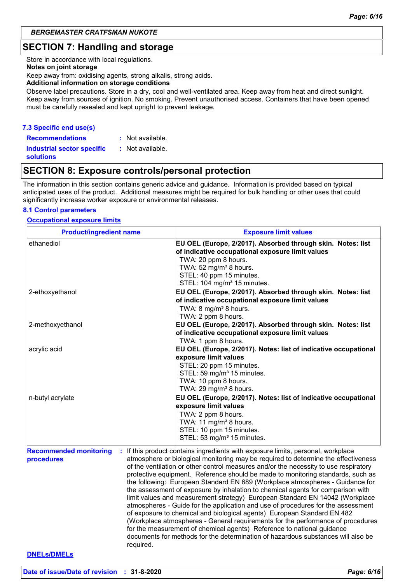# **SECTION 7: Handling and storage**

Store in accordance with local regulations.

#### **Notes on joint storage**

Keep away from: oxidising agents, strong alkalis, strong acids.

**Additional information on storage conditions**

Observe label precautions. Store in a dry, cool and well-ventilated area. Keep away from heat and direct sunlight. Keep away from sources of ignition. No smoking. Prevent unauthorised access. Containers that have been opened must be carefully resealed and kept upright to prevent leakage.

#### **7.3 Specific end use(s)**

**Recommendations : Industrial sector specific : solutions** : Not available. : Not available.

# **SECTION 8: Exposure controls/personal protection**

The information in this section contains generic advice and guidance. Information is provided based on typical anticipated uses of the product. Additional measures might be required for bulk handling or other uses that could significantly increase worker exposure or environmental releases.

#### **8.1 Control parameters**

#### **Occupational exposure limits**

| <b>Product/ingredient name</b>              | <b>Exposure limit values</b>                                                                                                                                                                                                                                                                                                                                                                                                                                                                                                                                                                                                                                                                                                                                                                                                                                                                                                                                                                                                       |
|---------------------------------------------|------------------------------------------------------------------------------------------------------------------------------------------------------------------------------------------------------------------------------------------------------------------------------------------------------------------------------------------------------------------------------------------------------------------------------------------------------------------------------------------------------------------------------------------------------------------------------------------------------------------------------------------------------------------------------------------------------------------------------------------------------------------------------------------------------------------------------------------------------------------------------------------------------------------------------------------------------------------------------------------------------------------------------------|
| ethanediol                                  | EU OEL (Europe, 2/2017). Absorbed through skin. Notes: list<br>of indicative occupational exposure limit values<br>TWA: 20 ppm 8 hours.<br>TWA: 52 mg/m <sup>3</sup> 8 hours.<br>STEL: 40 ppm 15 minutes.<br>STEL: 104 mg/m <sup>3</sup> 15 minutes.                                                                                                                                                                                                                                                                                                                                                                                                                                                                                                                                                                                                                                                                                                                                                                               |
| 2-ethoxyethanol                             | EU OEL (Europe, 2/2017). Absorbed through skin. Notes: list<br>of indicative occupational exposure limit values<br>TWA: 8 mg/m <sup>3</sup> 8 hours.<br>TWA: 2 ppm 8 hours.                                                                                                                                                                                                                                                                                                                                                                                                                                                                                                                                                                                                                                                                                                                                                                                                                                                        |
| 2-methoxyethanol                            | EU OEL (Europe, 2/2017). Absorbed through skin. Notes: list<br>of indicative occupational exposure limit values<br>TWA: 1 ppm 8 hours.                                                                                                                                                                                                                                                                                                                                                                                                                                                                                                                                                                                                                                                                                                                                                                                                                                                                                             |
| acrylic acid                                | EU OEL (Europe, 2/2017). Notes: list of indicative occupational<br>exposure limit values<br>STEL: 20 ppm 15 minutes.<br>STEL: 59 mg/m <sup>3</sup> 15 minutes.<br>TWA: 10 ppm 8 hours.<br>TWA: 29 mg/m <sup>3</sup> 8 hours.                                                                                                                                                                                                                                                                                                                                                                                                                                                                                                                                                                                                                                                                                                                                                                                                       |
| n-butyl acrylate                            | EU OEL (Europe, 2/2017). Notes: list of indicative occupational<br>exposure limit values<br>TWA: 2 ppm 8 hours.<br>TWA: 11 mg/m <sup>3</sup> 8 hours.<br>STEL: 10 ppm 15 minutes.<br>STEL: 53 mg/m <sup>3</sup> 15 minutes.                                                                                                                                                                                                                                                                                                                                                                                                                                                                                                                                                                                                                                                                                                                                                                                                        |
| <b>Recommended monitoring</b><br>procedures | : If this product contains ingredients with exposure limits, personal, workplace<br>atmosphere or biological monitoring may be required to determine the effectiveness<br>of the ventilation or other control measures and/or the necessity to use respiratory<br>protective equipment. Reference should be made to monitoring standards, such as<br>the following: European Standard EN 689 (Workplace atmospheres - Guidance for<br>the assessment of exposure by inhalation to chemical agents for comparison with<br>limit values and measurement strategy) European Standard EN 14042 (Workplace<br>atmospheres - Guide for the application and use of procedures for the assessment<br>of exposure to chemical and biological agents) European Standard EN 482<br>(Workplace atmospheres - General requirements for the performance of procedures<br>for the measurement of chemical agents) Reference to national guidance<br>documents for methods for the determination of hazardous substances will also be<br>required. |
| <b>DNELs/DMELs</b>                          |                                                                                                                                                                                                                                                                                                                                                                                                                                                                                                                                                                                                                                                                                                                                                                                                                                                                                                                                                                                                                                    |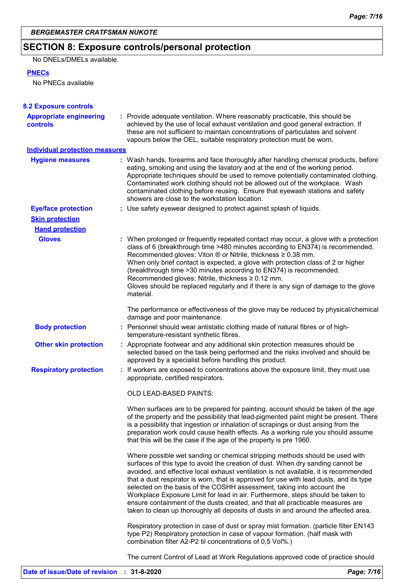# **SECTION 8: Exposure controls/personal protection**

No DNELs/DMELs available.

### **PNECs**

No PNECs available

| <b>8.2 Exposure controls</b>               |                                                                                                                                                                                                                                                                                                                                                                                                                                                                                                                                                                                                                                                                                         |
|--------------------------------------------|-----------------------------------------------------------------------------------------------------------------------------------------------------------------------------------------------------------------------------------------------------------------------------------------------------------------------------------------------------------------------------------------------------------------------------------------------------------------------------------------------------------------------------------------------------------------------------------------------------------------------------------------------------------------------------------------|
| <b>Appropriate engineering</b><br>controls | : Provide adequate ventilation. Where reasonably practicable, this should be<br>achieved by the use of local exhaust ventilation and good general extraction. If<br>these are not sufficient to maintain concentrations of particulates and solvent<br>vapours below the OEL, suitable respiratory protection must be worn.                                                                                                                                                                                                                                                                                                                                                             |
| <b>Individual protection measures</b>      |                                                                                                                                                                                                                                                                                                                                                                                                                                                                                                                                                                                                                                                                                         |
| <b>Hygiene measures</b>                    | : Wash hands, forearms and face thoroughly after handling chemical products, before<br>eating, smoking and using the lavatory and at the end of the working period.<br>Appropriate techniques should be used to remove potentially contaminated clothing.<br>Contaminated work clothing should not be allowed out of the workplace. Wash<br>contaminated clothing before reusing. Ensure that eyewash stations and safety<br>showers are close to the workstation location.                                                                                                                                                                                                             |
| <b>Eye/face protection</b>                 | : Use safety eyewear designed to protect against splash of liquids.                                                                                                                                                                                                                                                                                                                                                                                                                                                                                                                                                                                                                     |
| <b>Skin protection</b>                     |                                                                                                                                                                                                                                                                                                                                                                                                                                                                                                                                                                                                                                                                                         |
| <b>Hand protection</b>                     |                                                                                                                                                                                                                                                                                                                                                                                                                                                                                                                                                                                                                                                                                         |
| <b>Gloves</b>                              | : When prolonged or frequently repeated contact may occur, a glove with a protection<br>class of 6 (breakthrough time >480 minutes according to EN374) is recommended.<br>Recommended gloves: Viton $\otimes$ or Nitrile, thickness $\geq 0.38$ mm.<br>When only brief contact is expected, a glove with protection class of 2 or higher<br>(breakthrough time > 30 minutes according to EN374) is recommended.<br>Recommended gloves: Nitrile, thickness ≥ 0.12 mm.<br>Gloves should be replaced regularly and if there is any sign of damage to the glove<br>material.                                                                                                                |
|                                            | The performance or effectiveness of the glove may be reduced by physical/chemical<br>damage and poor maintenance.                                                                                                                                                                                                                                                                                                                                                                                                                                                                                                                                                                       |
| <b>Body protection</b>                     | : Personnel should wear antistatic clothing made of natural fibres or of high-<br>temperature-resistant synthetic fibres.                                                                                                                                                                                                                                                                                                                                                                                                                                                                                                                                                               |
| <b>Other skin protection</b>               | : Appropriate footwear and any additional skin protection measures should be<br>selected based on the task being performed and the risks involved and should be<br>approved by a specialist before handling this product.                                                                                                                                                                                                                                                                                                                                                                                                                                                               |
| <b>Respiratory protection</b>              | : If workers are exposed to concentrations above the exposure limit, they must use<br>appropriate, certified respirators.                                                                                                                                                                                                                                                                                                                                                                                                                                                                                                                                                               |
|                                            | <b>OLD LEAD-BASED PAINTS:</b>                                                                                                                                                                                                                                                                                                                                                                                                                                                                                                                                                                                                                                                           |
|                                            | When surfaces are to be prepared for painting, account should be taken of the age<br>of the property and the possibility that lead-pigmented paint might be present. There<br>is a possibility that ingestion or inhalation of scrapings or dust arising from the<br>preparation work could cause health effects. As a working rule you should assume<br>that this will be the case if the age of the property is pre 1960.                                                                                                                                                                                                                                                             |
|                                            | Where possible wet sanding or chemical stripping methods should be used with<br>surfaces of this type to avoid the creation of dust. When dry sanding cannot be<br>avoided, and effective local exhaust ventilation is not available, it is recommended<br>that a dust respirator is worn, that is approved for use with lead dusts, and its type<br>selected on the basis of the COSHH assessment, taking into account the<br>Workplace Exposure Limit for lead in air. Furthermore, steps should be taken to<br>ensure containment of the dusts created, and that all practicable measures are<br>taken to clean up thoroughly all deposits of dusts in and around the affected area. |
|                                            | Respiratory protection in case of dust or spray mist formation. (particle filter EN143<br>type P2) Respiratory protection in case of vapour formation. (half mask with<br>combination filter A2-P2 til concentrations of 0,5 Vol%.)                                                                                                                                                                                                                                                                                                                                                                                                                                                     |
|                                            | The current Control of Lead at Work Regulations approved code of practice should                                                                                                                                                                                                                                                                                                                                                                                                                                                                                                                                                                                                        |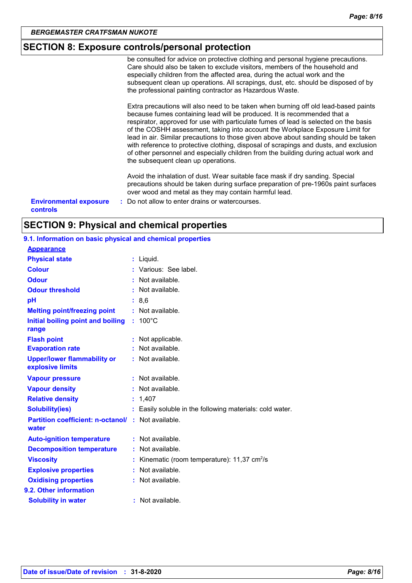# **SECTION 8: Exposure controls/personal protection**

be consulted for advice on protective clothing and personal hygiene precautions. Care should also be taken to exclude visitors, members of the household and especially children from the affected area, during the actual work and the subsequent clean up operations. All scrapings, dust, etc. should be disposed of by the professional painting contractor as Hazardous Waste.

Extra precautions will also need to be taken when burning off old lead-based paints because fumes containing lead will be produced. It is recommended that a respirator, approved for use with particulate fumes of lead is selected on the basis of the COSHH assessment, taking into account the Workplace Exposure Limit for lead in air. Similar precautions to those given above about sanding should be taken with reference to protective clothing, disposal of scrapings and dusts, and exclusion of other personnel and especially children from the building during actual work and the subsequent clean up operations.

Avoid the inhalation of dust. Wear suitable face mask if dry sanding. Special precautions should be taken during surface preparation of pre-1960s paint surfaces over wood and metal as they may contain harmful lead.

**Environmental exposure : Do not allow to enter drains or watercourses. controls**

# **SECTION 9: Physical and chemical properties**

#### **9.1. Information on basic physical and chemical properties**

| <b>Appearance</b>                                                  |                                                        |
|--------------------------------------------------------------------|--------------------------------------------------------|
| <b>Physical state</b>                                              | : Liquid.                                              |
| <b>Colour</b>                                                      | Various: See label.                                    |
| <b>Odour</b>                                                       | Not available.                                         |
| <b>Odour threshold</b>                                             | Not available.                                         |
| рH                                                                 | : 8.6                                                  |
| <b>Melting point/freezing point</b>                                | Not available.<br>t.                                   |
| Initial boiling point and boiling<br>range                         | $: 100^{\circ}$ C                                      |
| <b>Flash point</b>                                                 | Not applicable.                                        |
| <b>Evaporation rate</b>                                            | Not available.                                         |
| <b>Upper/lower flammability or</b><br>explosive limits             | Not available.                                         |
| <b>Vapour pressure</b>                                             | Not available.<br>t.                                   |
| <b>Vapour density</b>                                              | Not available.                                         |
| <b>Relative density</b>                                            | 1,407                                                  |
| <b>Solubility(ies)</b>                                             | Easily soluble in the following materials: cold water. |
| <b>Partition coefficient: n-octanol/ : Not available.</b><br>water |                                                        |
| <b>Auto-ignition temperature</b>                                   | : Not available.                                       |
| <b>Decomposition temperature</b>                                   | Not available.                                         |
| <b>Viscosity</b>                                                   | Kinematic (room temperature): 11,37 cm <sup>2</sup> /s |
| <b>Explosive properties</b>                                        | Not available.                                         |
| <b>Oxidising properties</b>                                        | Not available.                                         |
| 9.2. Other information                                             |                                                        |
| <b>Solubility in water</b>                                         | Not available.                                         |
|                                                                    |                                                        |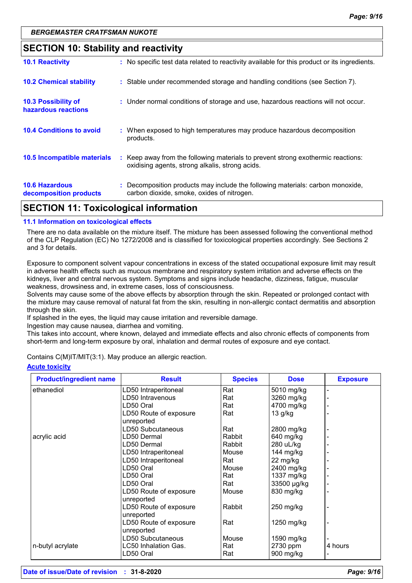### **SECTION 10: Stability and reactivity**

| <b>10.6 Hazardous</b><br>decomposition products | : Decomposition products may include the following materials: carbon monoxide,<br>carbon dioxide, smoke, oxides of nitrogen.        |
|-------------------------------------------------|-------------------------------------------------------------------------------------------------------------------------------------|
| 10.5 Incompatible materials                     | : Keep away from the following materials to prevent strong exothermic reactions:<br>oxidising agents, strong alkalis, strong acids. |
| <b>10.4 Conditions to avoid</b>                 | : When exposed to high temperatures may produce hazardous decomposition<br>products.                                                |
| 10.3 Possibility of<br>hazardous reactions      | : Under normal conditions of storage and use, hazardous reactions will not occur.                                                   |
| <b>10.2 Chemical stability</b>                  | : Stable under recommended storage and handling conditions (see Section 7).                                                         |
| <b>10.1 Reactivity</b>                          | : No specific test data related to reactivity available for this product or its ingredients.                                        |

# **SECTION 11: Toxicological information**

#### **11.1 Information on toxicological effects**

There are no data available on the mixture itself. The mixture has been assessed following the conventional method of the CLP Regulation (EC) No 1272/2008 and is classified for toxicological properties accordingly. See Sections 2 and 3 for details.

Exposure to component solvent vapour concentrations in excess of the stated occupational exposure limit may result in adverse health effects such as mucous membrane and respiratory system irritation and adverse effects on the kidneys, liver and central nervous system. Symptoms and signs include headache, dizziness, fatigue, muscular weakness, drowsiness and, in extreme cases, loss of consciousness.

Solvents may cause some of the above effects by absorption through the skin. Repeated or prolonged contact with the mixture may cause removal of natural fat from the skin, resulting in non-allergic contact dermatitis and absorption through the skin.

If splashed in the eyes, the liquid may cause irritation and reversible damage.

Ingestion may cause nausea, diarrhea and vomiting.

This takes into account, where known, delayed and immediate effects and also chronic effects of components from short-term and long-term exposure by oral, inhalation and dermal routes of exposure and eye contact.

Contains C(M)IT/MIT(3:1). May produce an allergic reaction.

#### **Acute toxicity**

| <b>Product/ingredient name</b> | <b>Result</b>                        | <b>Species</b> | <b>Dose</b>         | <b>Exposure</b> |
|--------------------------------|--------------------------------------|----------------|---------------------|-----------------|
| ethanediol                     | LD50 Intraperitoneal                 | Rat            | 5010 mg/kg          |                 |
|                                | LD50 Intravenous                     | Rat            | 3260 mg/kg          |                 |
|                                | LD50 Oral                            | Rat            | 4700 mg/kg          |                 |
|                                | LD50 Route of exposure<br>unreported | Rat            | $13$ g/kg           |                 |
|                                | LD50 Subcutaneous                    | Rat            | 2800 mg/kg          |                 |
| acrylic acid                   | LD50 Dermal                          | Rabbit         | 640 mg/kg           |                 |
|                                | LD50 Dermal                          | Rabbit         | 280 uL/kg           |                 |
|                                | LD50 Intraperitoneal                 | Mouse          | 144 mg/kg           |                 |
|                                | LD50 Intraperitoneal                 | Rat            | 22 mg/kg            |                 |
|                                | LD50 Oral                            | Mouse          | 2400 mg/kg          |                 |
|                                | LD50 Oral                            | Rat            | 1337 mg/kg          |                 |
|                                | LD50 Oral                            | Rat            | 33500 µg/kg         |                 |
|                                | LD50 Route of exposure<br>unreported | Mouse          | 830 mg/kg           |                 |
|                                | LD50 Route of exposure<br>unreported | Rabbit         | $250 \text{ mg/kg}$ |                 |
|                                | LD50 Route of exposure<br>unreported | Rat            | 1250 mg/kg          |                 |
|                                | LD50 Subcutaneous                    | Mouse          | 1590 mg/kg          |                 |
| n-butyl acrylate               | LC50 Inhalation Gas.                 | Rat            | 2730 ppm            | 4 hours         |
|                                | LD50 Oral                            | Rat            | 900 mg/kg           |                 |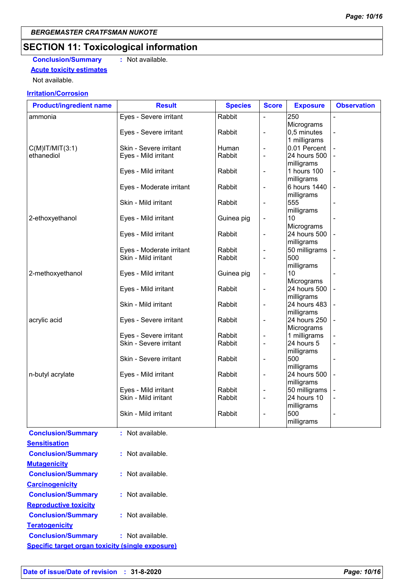# **SECTION 11: Toxicological information**

**Conclusion/Summary :** Not available. **Acute toxicity estimates**

Not available.

#### **Irritation/Corrosion**

| <b>Product/ingredient name</b> | <b>Result</b>            | <b>Species</b> | <b>Score</b>             | <b>Exposure</b> | <b>Observation</b> |
|--------------------------------|--------------------------|----------------|--------------------------|-----------------|--------------------|
| ammonia                        | Eyes - Severe irritant   | Rabbit         |                          | 250             |                    |
|                                |                          |                |                          | Micrograms      |                    |
|                                | Eyes - Severe irritant   | Rabbit         | $\blacksquare$           | 0,5 minutes     |                    |
|                                |                          |                |                          | 1 milligrams    |                    |
| $C(M)$ IT/MIT $(3:1)$          | Skin - Severe irritant   | Human          | $\overline{\phantom{a}}$ | 0.01 Percent    |                    |
| ethanediol                     | Eyes - Mild irritant     | Rabbit         | $\overline{\phantom{a}}$ | 24 hours 500    |                    |
|                                |                          |                |                          | milligrams      |                    |
|                                | Eyes - Mild irritant     | Rabbit         | $\overline{\phantom{a}}$ | 1 hours 100     |                    |
|                                |                          |                |                          | milligrams      |                    |
|                                | Eyes - Moderate irritant | Rabbit         | $\blacksquare$           | 6 hours 1440    |                    |
|                                |                          |                |                          | milligrams      |                    |
|                                | Skin - Mild irritant     | Rabbit         | $\blacksquare$           | 555             |                    |
|                                |                          |                |                          | milligrams      |                    |
| 2-ethoxyethanol                | Eyes - Mild irritant     | Guinea pig     | $\overline{\phantom{a}}$ | 10              |                    |
|                                |                          |                |                          | Micrograms      |                    |
|                                | Eyes - Mild irritant     | Rabbit         | $\overline{\phantom{a}}$ | 24 hours 500    |                    |
|                                |                          |                |                          | milligrams      |                    |
|                                | Eyes - Moderate irritant | Rabbit         | $\blacksquare$           | 50 milligrams   |                    |
|                                | Skin - Mild irritant     | Rabbit         | $\overline{\phantom{a}}$ | 500             |                    |
|                                |                          |                |                          | milligrams      |                    |
| 2-methoxyethanol               | Eyes - Mild irritant     | Guinea pig     | $\overline{\phantom{a}}$ | 10              |                    |
|                                |                          |                |                          | Micrograms      |                    |
|                                | Eyes - Mild irritant     | Rabbit         | $\overline{\phantom{a}}$ | 24 hours 500    |                    |
|                                |                          |                |                          | milligrams      |                    |
|                                | Skin - Mild irritant     | Rabbit         | $\overline{\phantom{a}}$ | 24 hours 483    |                    |
|                                |                          |                |                          | milligrams      |                    |
| acrylic acid                   | Eyes - Severe irritant   | Rabbit         | $\blacksquare$           | 24 hours 250    |                    |
|                                |                          |                |                          | Micrograms      |                    |
|                                | Eyes - Severe irritant   | Rabbit         | $\blacksquare$           | 1 milligrams    |                    |
|                                | Skin - Severe irritant   | Rabbit         | $\overline{\phantom{a}}$ | 24 hours 5      |                    |
|                                |                          |                |                          | milligrams      |                    |
|                                | Skin - Severe irritant   | Rabbit         | $\overline{a}$           | 500             |                    |
|                                |                          |                |                          | milligrams      |                    |
| n-butyl acrylate               | Eyes - Mild irritant     | Rabbit         | $\overline{\phantom{a}}$ | 24 hours 500    |                    |
|                                |                          |                |                          | milligrams      |                    |
|                                | Eyes - Mild irritant     | Rabbit         |                          | 50 milligrams   |                    |
|                                | Skin - Mild irritant     | Rabbit         | $\blacksquare$           | 24 hours 10     |                    |
|                                |                          |                |                          | milligrams      |                    |
|                                | Skin - Mild irritant     | Rabbit         | $\blacksquare$           | 500             |                    |
|                                |                          |                |                          | milligrams      |                    |
|                                |                          |                |                          |                 |                    |
| <b>Conclusion/Summary</b>      | : Not available.         |                |                          |                 |                    |
| <b>Sensitisation</b>           |                          |                |                          |                 |                    |
| <b>Conclusion/Summary</b>      | : Not available.         |                |                          |                 |                    |

| <b>Conclusion/Summary</b>                               | : Not available.   |
|---------------------------------------------------------|--------------------|
| <b>Mutagenicity</b>                                     |                    |
| <b>Conclusion/Summary</b>                               | Not available.     |
| <b>Carcinogenicity</b>                                  |                    |
| <b>Conclusion/Summary</b>                               | : Not available.   |
| <b>Reproductive toxicity</b>                            |                    |
| <b>Conclusion/Summary</b>                               | $:$ Not available. |
| <b>Teratogenicity</b>                                   |                    |
| <b>Conclusion/Summary</b>                               | : Not available.   |
| <b>Specific target organ toxicity (single exposure)</b> |                    |
|                                                         |                    |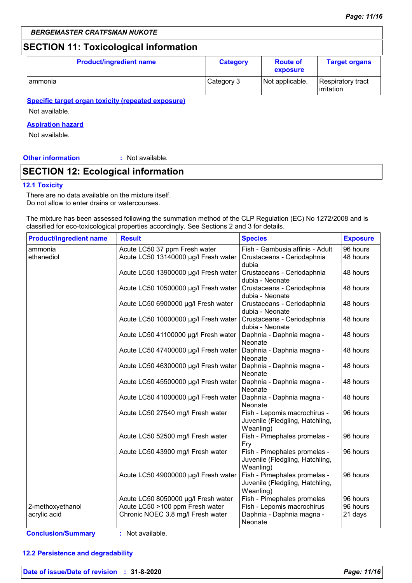# **SECTION 11: Toxicological information**

| <b>Product/ingredient name</b> | <b>Category</b> | <b>Route of</b><br>exposure | <b>Target organs</b>              |
|--------------------------------|-----------------|-----------------------------|-----------------------------------|
| I ammonia                      | Category 3      | Not applicable.             | Respiratory tract<br>l irritation |

**Specific target organ toxicity (repeated exposure)**

Not available.

#### **Aspiration hazard**

Not available.

#### **Other information :** : Not available.

# **SECTION 12: Ecological information**

#### **12.1 Toxicity**

There are no data available on the mixture itself. Do not allow to enter drains or watercourses.

The mixture has been assessed following the summation method of the CLP Regulation (EC) No 1272/2008 and is classified for eco-toxicological properties accordingly. See Sections 2 and 3 for details.

| <b>Product/ingredient name</b> | <b>Result</b>                                                         | <b>Species</b>                                                               | <b>Exposure</b>      |
|--------------------------------|-----------------------------------------------------------------------|------------------------------------------------------------------------------|----------------------|
| ammonia<br>ethanediol          | Acute LC50 37 ppm Fresh water<br>Acute LC50 13140000 µg/l Fresh water | Fish - Gambusia affinis - Adult<br>Crustaceans - Ceriodaphnia                | 96 hours<br>48 hours |
|                                |                                                                       | dubia                                                                        |                      |
|                                | Acute LC50 13900000 µg/l Fresh water                                  | Crustaceans - Ceriodaphnia<br>dubia - Neonate                                | 48 hours             |
|                                | Acute LC50 10500000 µg/l Fresh water                                  | Crustaceans - Ceriodaphnia<br>dubia - Neonate                                | 48 hours             |
|                                | Acute LC50 6900000 µg/l Fresh water                                   | Crustaceans - Ceriodaphnia<br>dubia - Neonate                                | 48 hours             |
|                                | Acute LC50 10000000 µg/l Fresh water                                  | Crustaceans - Ceriodaphnia<br>dubia - Neonate                                | 48 hours             |
|                                | Acute LC50 41100000 µg/l Fresh water                                  | Daphnia - Daphnia magna -<br>Neonate                                         | 48 hours             |
|                                | Acute LC50 47400000 µg/l Fresh water                                  | Daphnia - Daphnia magna -<br>Neonate                                         | 48 hours             |
|                                | Acute LC50 46300000 µg/l Fresh water                                  | Daphnia - Daphnia magna -<br>Neonate                                         | 48 hours             |
|                                | Acute LC50 45500000 µg/l Fresh water                                  | Daphnia - Daphnia magna -<br>Neonate                                         | 48 hours             |
|                                | Acute LC50 41000000 µg/l Fresh water                                  | Daphnia - Daphnia magna -<br>Neonate                                         | 48 hours             |
|                                | Acute LC50 27540 mg/l Fresh water                                     | Fish - Lepomis macrochirus -<br>Juvenile (Fledgling, Hatchling,<br>Weanling) | 96 hours             |
|                                | Acute LC50 52500 mg/l Fresh water                                     | Fish - Pimephales promelas -<br>Fry                                          | 96 hours             |
|                                | Acute LC50 43900 mg/l Fresh water                                     | Fish - Pimephales promelas -<br>Juvenile (Fledgling, Hatchling,<br>Weanling) | 96 hours             |
|                                | Acute LC50 49000000 µg/l Fresh water                                  | Fish - Pimephales promelas -<br>Juvenile (Fledgling, Hatchling,<br>Weanling) | 96 hours             |
|                                | Acute LC50 8050000 µg/l Fresh water                                   | Fish - Pimephales promelas                                                   | 96 hours             |
| 2-methoxyethanol               | Acute LC50 >100 ppm Fresh water                                       | Fish - Lepomis macrochirus                                                   | 96 hours             |
| acrylic acid                   | Chronic NOEC 3,8 mg/l Fresh water                                     | Daphnia - Daphnia magna -<br>Neonate                                         | 21 days              |

#### **12.2 Persistence and degradability**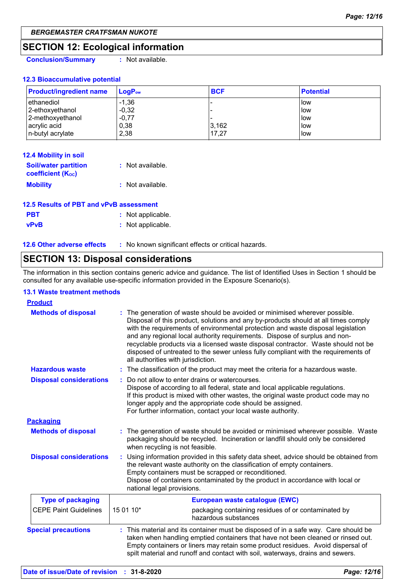# **SECTION 12: Ecological information**

**Conclusion/Summary :** Not available.

#### **12.3 Bioaccumulative potential**

| <b>Product/ingredient name</b> | $LoaPow$ | <b>BCF</b> | <b>Potential</b> |
|--------------------------------|----------|------------|------------------|
| l ethanediol                   | $-1,36$  |            | <b>I</b> low     |
| 2-ethoxyethanol                | $-0,32$  |            | low              |
| 2-methoxyethanol               | $-0,77$  | -          | <b>I</b> low     |
| acrylic acid                   | 0,38     | 3,162      | low              |
| n-butyl acrylate               | 2,38     | 17.27      | <b>I</b> low     |

| <b>12.4 Mobility in soil</b>                            |                  |
|---------------------------------------------------------|------------------|
| <b>Soil/water partition</b><br><b>coefficient (Koc)</b> | : Not available. |
| <b>Mobility</b>                                         | : Not available. |

| 12.5 Results of PBT and vPvB assessment |                   |  |
|-----------------------------------------|-------------------|--|
| <b>PBT</b>                              | : Not applicable. |  |
| vPvB                                    | : Not applicable. |  |

**12.6 Other adverse effects** : No known significant effects or critical hazards.

# **SECTION 13: Disposal considerations**

The information in this section contains generic advice and guidance. The list of Identified Uses in Section 1 should be consulted for any available use-specific information provided in the Exposure Scenario(s).

#### **13.1 Waste treatment methods**

| <b>Product</b>                 |                                                                                                                                                                                                        |                                                                                                                                                                                                                                                                                                                                                                                                                                                                                                              |  |
|--------------------------------|--------------------------------------------------------------------------------------------------------------------------------------------------------------------------------------------------------|--------------------------------------------------------------------------------------------------------------------------------------------------------------------------------------------------------------------------------------------------------------------------------------------------------------------------------------------------------------------------------------------------------------------------------------------------------------------------------------------------------------|--|
| <b>Methods of disposal</b>     | all authorities with jurisdiction.                                                                                                                                                                     | The generation of waste should be avoided or minimised wherever possible.<br>Disposal of this product, solutions and any by-products should at all times comply<br>with the requirements of environmental protection and waste disposal legislation<br>and any regional local authority requirements. Dispose of surplus and non-<br>recyclable products via a licensed waste disposal contractor. Waste should not be<br>disposed of untreated to the sewer unless fully compliant with the requirements of |  |
| <b>Hazardous waste</b>         |                                                                                                                                                                                                        | : The classification of the product may meet the criteria for a hazardous waste.                                                                                                                                                                                                                                                                                                                                                                                                                             |  |
| <b>Disposal considerations</b> |                                                                                                                                                                                                        | Do not allow to enter drains or watercourses.<br>Dispose of according to all federal, state and local applicable regulations.<br>If this product is mixed with other wastes, the original waste product code may no<br>longer apply and the appropriate code should be assigned.<br>For further information, contact your local waste authority.                                                                                                                                                             |  |
| <b>Packaging</b>               |                                                                                                                                                                                                        |                                                                                                                                                                                                                                                                                                                                                                                                                                                                                                              |  |
| <b>Methods of disposal</b>     | The generation of waste should be avoided or minimised wherever possible. Waste<br>packaging should be recycled. Incineration or landfill should only be considered<br>when recycling is not feasible. |                                                                                                                                                                                                                                                                                                                                                                                                                                                                                                              |  |
| <b>Disposal considerations</b> | national legal provisions.                                                                                                                                                                             | Using information provided in this safety data sheet, advice should be obtained from<br>the relevant waste authority on the classification of empty containers.<br>Empty containers must be scrapped or reconditioned.<br>Dispose of containers contaminated by the product in accordance with local or                                                                                                                                                                                                      |  |
| <b>Type of packaging</b>       | European waste catalogue (EWC)                                                                                                                                                                         |                                                                                                                                                                                                                                                                                                                                                                                                                                                                                                              |  |
| <b>CEPE Paint Guidelines</b>   | 15 01 10*                                                                                                                                                                                              | packaging containing residues of or contaminated by<br>hazardous substances                                                                                                                                                                                                                                                                                                                                                                                                                                  |  |
| <b>Special precautions</b>     |                                                                                                                                                                                                        | : This material and its container must be disposed of in a safe way. Care should be<br>taken when handling emptied containers that have not been cleaned or rinsed out.<br>Empty containers or liners may retain some product residues. Avoid dispersal of<br>spilt material and runoff and contact with soil, waterways, drains and sewers.                                                                                                                                                                 |  |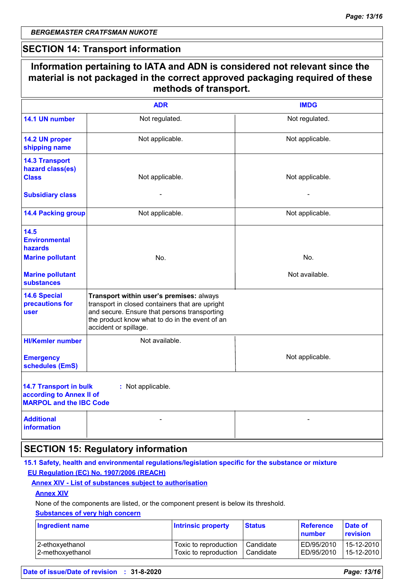$\Gamma$ 

## **SECTION 14: Transport information**

|                                                                                             | methods of transport.                                                                                                                                                                                                  |                 |
|---------------------------------------------------------------------------------------------|------------------------------------------------------------------------------------------------------------------------------------------------------------------------------------------------------------------------|-----------------|
|                                                                                             | <b>ADR</b>                                                                                                                                                                                                             | <b>IMDG</b>     |
| 14.1 UN number                                                                              | Not regulated.                                                                                                                                                                                                         | Not regulated.  |
| 14.2 UN proper<br>shipping name                                                             | Not applicable.                                                                                                                                                                                                        | Not applicable. |
| <b>14.3 Transport</b><br>hazard class(es)<br><b>Class</b>                                   | Not applicable.                                                                                                                                                                                                        | Not applicable. |
| <b>Subsidiary class</b>                                                                     |                                                                                                                                                                                                                        |                 |
| <b>14.4 Packing group</b>                                                                   | Not applicable.                                                                                                                                                                                                        | Not applicable. |
| 14.5<br><b>Environmental</b><br>hazards                                                     |                                                                                                                                                                                                                        |                 |
| <b>Marine pollutant</b>                                                                     | No.                                                                                                                                                                                                                    | No.             |
| <b>Marine pollutant</b><br><b>substances</b>                                                |                                                                                                                                                                                                                        | Not available.  |
| <b>14.6 Special</b><br>precautions for<br><b>user</b>                                       | Transport within user's premises: always<br>transport in closed containers that are upright<br>and secure. Ensure that persons transporting<br>the product know what to do in the event of an<br>accident or spillage. |                 |
| <b>HI/Kemler number</b>                                                                     | Not available.                                                                                                                                                                                                         |                 |
| <b>Emergency</b><br>schedules (EmS)                                                         |                                                                                                                                                                                                                        | Not applicable. |
| <b>14.7 Transport in bulk</b><br>according to Annex II of<br><b>MARPOL and the IBC Code</b> | : Not applicable.                                                                                                                                                                                                      |                 |
| <b>Additional</b><br>information                                                            |                                                                                                                                                                                                                        |                 |

#### **15.1 Safety, health and environmental regulations/legislation specific for the substance or mixture EU Regulation (EC) No. 1907/2006 (REACH)**

#### **Annex XIV - List of substances subject to authorisation**

#### **Annex XIV**

None of the components are listed, or the component present is below its threshold.

#### **Substances of very high concern**

| <b>Ingredient name</b> | <b>Intrinsic property</b> | <b>Status</b> | <b>Reference</b><br>number | Date of<br>revision |
|------------------------|---------------------------|---------------|----------------------------|---------------------|
| 2-ethoxyethanol        | Toxic to reproduction     | Candidate     | ED/95/2010                 | 15-12-2010 l        |
| 2-methoxyethanol       | Toxic to reproduction     | Candidate     | ED/95/2010                 | 15-12-2010 l        |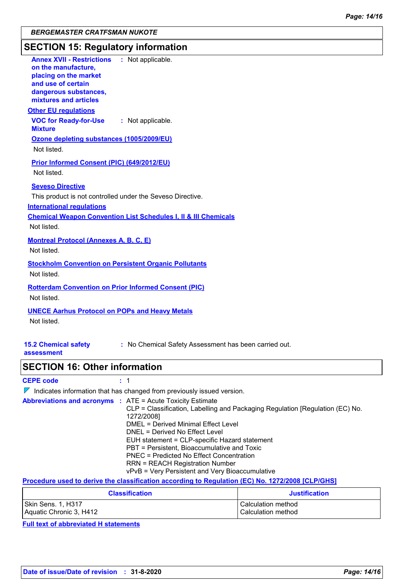# **SECTION 15: Regulatory information**

| <b>Annex XVII - Restrictions : Not applicable.</b><br>on the manufacture,<br>placing on the market<br>and use of certain<br>dangerous substances,                                                                                                                                                 |
|---------------------------------------------------------------------------------------------------------------------------------------------------------------------------------------------------------------------------------------------------------------------------------------------------|
| mixtures and articles                                                                                                                                                                                                                                                                             |
| <b>Other EU requlations</b>                                                                                                                                                                                                                                                                       |
| <b>VOC for Ready-for-Use</b><br>: Not applicable.<br><b>Mixture</b>                                                                                                                                                                                                                               |
| Ozone depleting substances (1005/2009/EU)<br>Not listed.                                                                                                                                                                                                                                          |
| <b>Prior Informed Consent (PIC) (649/2012/EU)</b><br>Not listed.                                                                                                                                                                                                                                  |
| <b>Seveso Directive</b><br>This product is not controlled under the Seveso Directive.<br><b>International regulations</b>                                                                                                                                                                         |
| <b>Chemical Weapon Convention List Schedules I, II &amp; III Chemicals</b><br>Not listed.                                                                                                                                                                                                         |
| <b>Montreal Protocol (Annexes A, B, C, E)</b><br>Not listed.                                                                                                                                                                                                                                      |
| <b>Stockholm Convention on Persistent Organic Pollutants</b><br>Not listed.                                                                                                                                                                                                                       |
| <b>Rotterdam Convention on Prior Informed Consent (PIC)</b><br>Not listed.                                                                                                                                                                                                                        |
| <b>UNECE Aarhus Protocol on POPs and Heavy Metals</b><br>Not listed.                                                                                                                                                                                                                              |
| <b>15.2 Chemical safety</b><br>: No Chemical Safety Assessment has been carried out.<br>assessment                                                                                                                                                                                                |
| <b>SECTION 16: Other information</b>                                                                                                                                                                                                                                                              |
| <b>CEPE code</b><br>: 1                                                                                                                                                                                                                                                                           |
| $\nabla$ Indicates information that has changed from previously issued version.                                                                                                                                                                                                                   |
| <b>Abbreviations and acronyms : ATE = Acute Toxicity Estimate</b><br>CLP = Classification, Labelling and Packaging Regulation [Regulation (EC) No.<br>1272/2008]<br><b>DMEL = Derived Minimal Effect Level</b><br>DNEL = Derived No Effect Level<br>EUH statement = CLP-specific Hazard statement |
| PBT = Persistent, Bioaccumulative and Toxic<br><b>PNEC = Predicted No Effect Concentration</b><br><b>RRN = REACH Registration Number</b><br>vPvB = Very Persistent and Very Bioaccumulative                                                                                                       |
| Procedure used to derive the classification according to Regulation (EC) No. 1272/2008 [CLP/GHS]                                                                                                                                                                                                  |

| <b>Classification</b>   | <b>Justification</b> |
|-------------------------|----------------------|
| Skin Sens. 1, H317      | Calculation method   |
| Aquatic Chronic 3, H412 | Calculation method   |

**Full text of abbreviated H statements**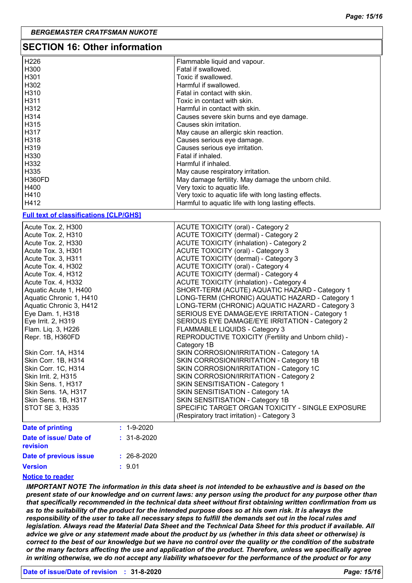| <b>SECTION 16: Other information</b> |                                                       |
|--------------------------------------|-------------------------------------------------------|
| H <sub>226</sub>                     | Flammable liquid and vapour.                          |
| H300                                 | Fatal if swallowed.                                   |
| H <sub>301</sub>                     | Toxic if swallowed.                                   |
| H302                                 | Harmful if swallowed.                                 |
| H310                                 | Fatal in contact with skin.                           |
| H311                                 | Toxic in contact with skin.                           |
| H312                                 | Harmful in contact with skin.                         |
| H <sub>3</sub> 14                    | Causes severe skin burns and eye damage.              |
| H315                                 | Causes skin irritation.                               |
| H317                                 | May cause an allergic skin reaction.                  |
| H318                                 | Causes serious eye damage.                            |
| H319                                 | Causes serious eye irritation.                        |
| H330                                 | Fatal if inhaled.                                     |
| H332                                 | Harmful if inhaled.                                   |
| H335                                 | May cause respiratory irritation.                     |
| H360FD                               | May damage fertility. May damage the unborn child.    |
| H400                                 | Very toxic to aquatic life.                           |
| H410                                 | Very toxic to aquatic life with long lasting effects. |
| H412                                 | Harmful to aquatic life with long lasting effects.    |

#### **Full text of classifications [CLP/GHS]**

| Acute Tox. 2, H300                          | <b>ACUTE TOXICITY (oral) - Category 2</b>            |
|---------------------------------------------|------------------------------------------------------|
| Acute Tox. 2, H310                          | <b>ACUTE TOXICITY (dermal) - Category 2</b>          |
| Acute Tox. 2, H330                          | <b>ACUTE TOXICITY (inhalation) - Category 2</b>      |
| Acute Tox. 3, H301                          | ACUTE TOXICITY (oral) - Category 3                   |
| Acute Tox. 3, H311                          | ACUTE TOXICITY (dermal) - Category 3                 |
| Acute Tox. 4, H302                          | ACUTE TOXICITY (oral) - Category 4                   |
| Acute Tox. 4, H312                          | ACUTE TOXICITY (dermal) - Category 4                 |
| Acute Tox. 4, H332                          | <b>ACUTE TOXICITY (inhalation) - Category 4</b>      |
| Aquatic Acute 1, H400                       | SHORT-TERM (ACUTE) AQUATIC HAZARD - Category 1       |
| Aquatic Chronic 1, H410                     | LONG-TERM (CHRONIC) AQUATIC HAZARD - Category 1      |
| Aquatic Chronic 3, H412                     | LONG-TERM (CHRONIC) AQUATIC HAZARD - Category 3      |
| Eye Dam. 1, H318                            | SERIOUS EYE DAMAGE/EYE IRRITATION - Category 1       |
| Eye Irrit. 2, H319                          | SERIOUS EYE DAMAGE/EYE IRRITATION - Category 2       |
| Flam. Liq. 3, H226                          | FLAMMABLE LIQUIDS - Category 3                       |
| Repr. 1B, H360FD                            | REPRODUCTIVE TOXICITY (Fertility and Unborn child) - |
|                                             | Category 1B                                          |
| Skin Corr. 1A, H314                         | SKIN CORROSION/IRRITATION - Category 1A              |
| Skin Corr. 1B, H314                         | SKIN CORROSION/IRRITATION - Category 1B              |
| Skin Corr. 1C, H314                         | SKIN CORROSION/IRRITATION - Category 1C              |
| Skin Irrit. 2, H315                         | SKIN CORROSION/IRRITATION - Category 2               |
| Skin Sens. 1, H317                          | SKIN SENSITISATION - Category 1                      |
| Skin Sens. 1A, H317                         | SKIN SENSITISATION - Category 1A                     |
| Skin Sens. 1B, H317                         | SKIN SENSITISATION - Category 1B                     |
| STOT SE 3, H335                             | SPECIFIC TARGET ORGAN TOXICITY - SINGLE EXPOSURE     |
|                                             | (Respiratory tract irritation) - Category 3          |
| Date of printing<br>$: 1 - 9 - 2020$        |                                                      |
| Date of issue/ Date of<br>$: 31 - 8 - 2020$ |                                                      |

#### **Notice to reader**

*IMPORTANT NOTE The information in this data sheet is not intended to be exhaustive and is based on the present state of our knowledge and on current laws: any person using the product for any purpose other than that specifically recommended in the technical data sheet without first obtaining written confirmation from us*  as to the suitability of the product for the intended purpose does so at his own risk. It is always the *responsibility of the user to take all necessary steps to fulfill the demands set out in the local rules and legislation. Always read the Material Data Sheet and the Technical Data Sheet for this product if available. All advice we give or any statement made about the product by us (whether in this data sheet or otherwise) is correct to the best of our knowledge but we have no control over the quality or the condition of the substrate or the many factors affecting the use and application of the product. Therefore, unless we specifically agree in writing otherwise, we do not accept any liability whatsoever for the performance of the product or for any*